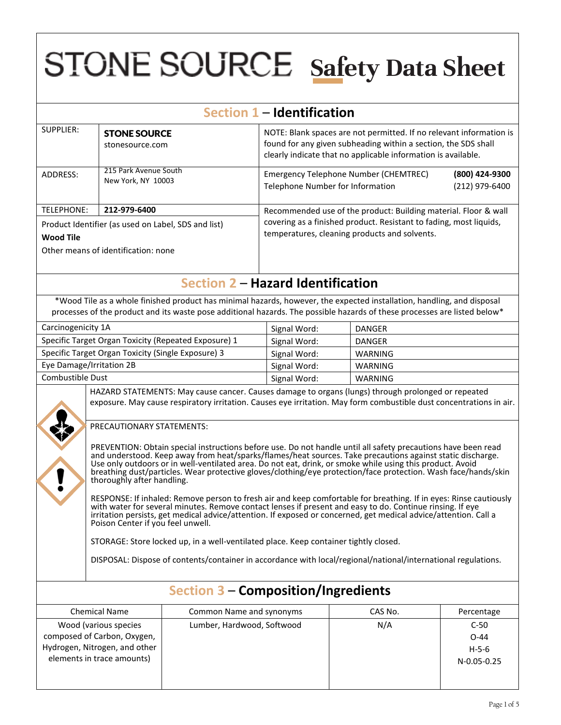# **STONE SOURCE Safety Data Sheet**

| Section 1 - Identification                                                                                                                                                                                                                                                                                                                                                                                                                                                                                                                                                                                                                                                                                                                                                                                                                                                                                                                                                                                                                                                                                                                                                                                                                                                                                                                             |                                                    |                                                                                                                                                                                                                                                     |                                                                                                                                                                                                        |               |                                  |
|--------------------------------------------------------------------------------------------------------------------------------------------------------------------------------------------------------------------------------------------------------------------------------------------------------------------------------------------------------------------------------------------------------------------------------------------------------------------------------------------------------------------------------------------------------------------------------------------------------------------------------------------------------------------------------------------------------------------------------------------------------------------------------------------------------------------------------------------------------------------------------------------------------------------------------------------------------------------------------------------------------------------------------------------------------------------------------------------------------------------------------------------------------------------------------------------------------------------------------------------------------------------------------------------------------------------------------------------------------|----------------------------------------------------|-----------------------------------------------------------------------------------------------------------------------------------------------------------------------------------------------------------------------------------------------------|--------------------------------------------------------------------------------------------------------------------------------------------------------------------------------------------------------|---------------|----------------------------------|
| <b>SUPPLIER:</b>                                                                                                                                                                                                                                                                                                                                                                                                                                                                                                                                                                                                                                                                                                                                                                                                                                                                                                                                                                                                                                                                                                                                                                                                                                                                                                                                       | <b>STONE SOURCE</b><br>stonesource.com             |                                                                                                                                                                                                                                                     | NOTE: Blank spaces are not permitted. If no relevant information is<br>found for any given subheading within a section, the SDS shall<br>clearly indicate that no applicable information is available. |               |                                  |
| ADDRESS:                                                                                                                                                                                                                                                                                                                                                                                                                                                                                                                                                                                                                                                                                                                                                                                                                                                                                                                                                                                                                                                                                                                                                                                                                                                                                                                                               | 215 Park Avenue South<br>New York, NY 10003        |                                                                                                                                                                                                                                                     | <b>Emergency Telephone Number (CHEMTREC)</b><br>Telephone Number for Information                                                                                                                       |               | (800) 424-9300<br>(212) 979-6400 |
| <b>TELEPHONE:</b>                                                                                                                                                                                                                                                                                                                                                                                                                                                                                                                                                                                                                                                                                                                                                                                                                                                                                                                                                                                                                                                                                                                                                                                                                                                                                                                                      | 212-979-6400                                       |                                                                                                                                                                                                                                                     | Recommended use of the product: Building material. Floor & wall                                                                                                                                        |               |                                  |
| Product Identifier (as used on Label, SDS and list)<br><b>Wood Tile</b><br>Other means of identification: none                                                                                                                                                                                                                                                                                                                                                                                                                                                                                                                                                                                                                                                                                                                                                                                                                                                                                                                                                                                                                                                                                                                                                                                                                                         |                                                    |                                                                                                                                                                                                                                                     | covering as a finished product. Resistant to fading, most liquids,<br>temperatures, cleaning products and solvents.                                                                                    |               |                                  |
|                                                                                                                                                                                                                                                                                                                                                                                                                                                                                                                                                                                                                                                                                                                                                                                                                                                                                                                                                                                                                                                                                                                                                                                                                                                                                                                                                        |                                                    | <b>Section 2 - Hazard Identification</b>                                                                                                                                                                                                            |                                                                                                                                                                                                        |               |                                  |
|                                                                                                                                                                                                                                                                                                                                                                                                                                                                                                                                                                                                                                                                                                                                                                                                                                                                                                                                                                                                                                                                                                                                                                                                                                                                                                                                                        |                                                    | *Wood Tile as a whole finished product has minimal hazards, however, the expected installation, handling, and disposal<br>processes of the product and its waste pose additional hazards. The possible hazards of these processes are listed below* |                                                                                                                                                                                                        |               |                                  |
| Carcinogenicity 1A                                                                                                                                                                                                                                                                                                                                                                                                                                                                                                                                                                                                                                                                                                                                                                                                                                                                                                                                                                                                                                                                                                                                                                                                                                                                                                                                     |                                                    |                                                                                                                                                                                                                                                     | Signal Word:                                                                                                                                                                                           | <b>DANGER</b> |                                  |
|                                                                                                                                                                                                                                                                                                                                                                                                                                                                                                                                                                                                                                                                                                                                                                                                                                                                                                                                                                                                                                                                                                                                                                                                                                                                                                                                                        |                                                    | Specific Target Organ Toxicity (Repeated Exposure) 1                                                                                                                                                                                                | Signal Word:                                                                                                                                                                                           | <b>DANGER</b> |                                  |
|                                                                                                                                                                                                                                                                                                                                                                                                                                                                                                                                                                                                                                                                                                                                                                                                                                                                                                                                                                                                                                                                                                                                                                                                                                                                                                                                                        | Specific Target Organ Toxicity (Single Exposure) 3 |                                                                                                                                                                                                                                                     | Signal Word:                                                                                                                                                                                           | WARNING       |                                  |
| Eye Damage/Irritation 2B                                                                                                                                                                                                                                                                                                                                                                                                                                                                                                                                                                                                                                                                                                                                                                                                                                                                                                                                                                                                                                                                                                                                                                                                                                                                                                                               |                                                    |                                                                                                                                                                                                                                                     | Signal Word:                                                                                                                                                                                           | WARNING       |                                  |
| Combustible Dust                                                                                                                                                                                                                                                                                                                                                                                                                                                                                                                                                                                                                                                                                                                                                                                                                                                                                                                                                                                                                                                                                                                                                                                                                                                                                                                                       |                                                    |                                                                                                                                                                                                                                                     | Signal Word:                                                                                                                                                                                           | WARNING       |                                  |
| HAZARD STATEMENTS: May cause cancer. Causes damage to organs (lungs) through prolonged or repeated<br>exposure. May cause respiratory irritation. Causes eye irritation. May form combustible dust concentrations in air.<br>PRECAUTIONARY STATEMENTS:<br>PREVENTION: Obtain special instructions before use. Do not handle until all safety precautions have been read<br>and understood. Keep away from heat/sparks/flames/heat sources. Take precautions against static discharge.<br>Use only outdoors or in well-ventilated area. Do not eat, drink, or smoke while using this product. Avoid<br>breathing dust/particles. Wear protective gloves/clothing/eye protection/face protection. Wash face/hands/skin<br>thoroughly after handling.<br>RESPONSE: If inhaled: Remove person to fresh air and keep comfortable for breathing. If in eyes: Rinse cautiously<br>with water for several minutes. Remove contact lenses if present and easy to do. Continue rinsing. If eye<br>irritation persists, get medical advice/attention. If exposed or concerned, get medical advice/attention. Call a<br>Poison Center if you feel unwell.<br>STORAGE: Store locked up, in a well-ventilated place. Keep container tightly closed.<br>DISPOSAL: Dispose of contents/container in accordance with local/regional/national/international regulations. |                                                    |                                                                                                                                                                                                                                                     |                                                                                                                                                                                                        |               |                                  |
| <b>Section 3 - Composition/Ingredients</b>                                                                                                                                                                                                                                                                                                                                                                                                                                                                                                                                                                                                                                                                                                                                                                                                                                                                                                                                                                                                                                                                                                                                                                                                                                                                                                             |                                                    |                                                                                                                                                                                                                                                     |                                                                                                                                                                                                        |               |                                  |
|                                                                                                                                                                                                                                                                                                                                                                                                                                                                                                                                                                                                                                                                                                                                                                                                                                                                                                                                                                                                                                                                                                                                                                                                                                                                                                                                                        | <b>Chemical Name</b>                               | Common Name and synonyms                                                                                                                                                                                                                            |                                                                                                                                                                                                        | CAS No.       | Percentage                       |
| Wood (various species<br>composed of Carbon, Oxygen,                                                                                                                                                                                                                                                                                                                                                                                                                                                                                                                                                                                                                                                                                                                                                                                                                                                                                                                                                                                                                                                                                                                                                                                                                                                                                                   |                                                    | Lumber, Hardwood, Softwood                                                                                                                                                                                                                          |                                                                                                                                                                                                        | N/A           | $C-50$<br>$O-44$                 |

Hydrogen, Nitrogen, and other elements in trace amounts)

H-5-6 N-0.05-0.25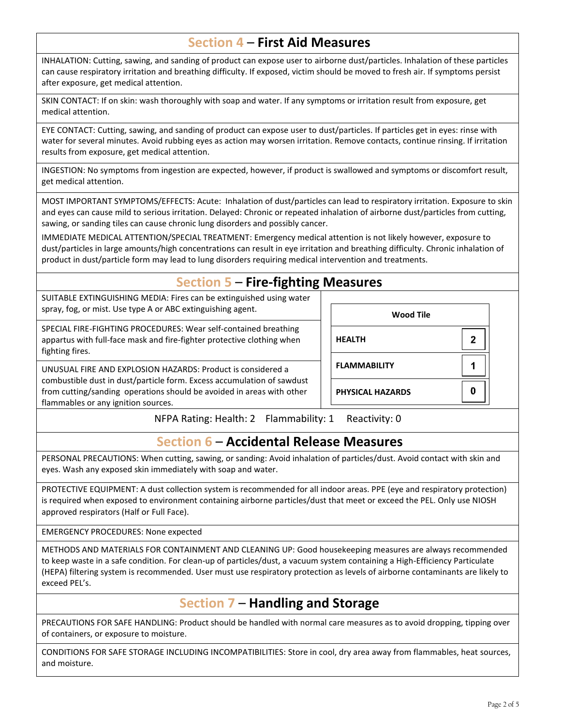#### **Section 4** – **First Aid Measures**

INHALATION: Cutting, sawing, and sanding of product can expose user to airborne dust/particles. Inhalation of these particles can cause respiratory irritation and breathing difficulty. If exposed, victim should be moved to fresh air. If symptoms persist after exposure, get medical attention.

SKIN CONTACT: If on skin: wash thoroughly with soap and water. If any symptoms or irritation result from exposure, get medical attention.

EYE CONTACT: Cutting, sawing, and sanding of product can expose user to dust/particles. If particles get in eyes: rinse with water for several minutes. Avoid rubbing eyes as action may worsen irritation. Remove contacts, continue rinsing. If irritation results from exposure, get medical attention.

INGESTION: No symptoms from ingestion are expected, however, if product is swallowed and symptoms or discomfort result, get medical attention.

MOST IMPORTANT SYMPTOMS/EFFECTS: Acute: Inhalation of dust/particles can lead to respiratory irritation. Exposure to skin and eyes can cause mild to serious irritation. Delayed: Chronic or repeated inhalation of airborne dust/particles from cutting, sawing, or sanding tiles can cause chronic lung disorders and possibly cancer.

IMMEDIATE MEDICAL ATTENTION/SPECIAL TREATMENT: Emergency medical attention is not likely however, exposure to dust/particles in large amounts/high concentrations can result in eye irritation and breathing difficulty. Chronic inhalation of product in dust/particle form may lead to lung disorders requiring medical intervention and treatments.

#### **Section 5** – **Fire-fighting Measures**

SUITABLE EXTINGUISHING MEDIA: Fires can be extinguished using water spray, fog, or mist. Use type A or ABC extinguishing agent.

SPECIAL FIRE-FIGHTING PROCEDURES: Wear self-contained breathing appartus with full-face mask and fire-fighter protective clothing when fighting fires.

UNUSUAL FIRE AND EXPLOSION HAZARDS: Product is considered a combustible dust in dust/particle form. Excess accumulation of sawdust from cutting/sanding operations should be avoided in areas with other flammables or any ignition sources.

| <b>Wood Tile</b>        |   |
|-------------------------|---|
| <b>HEALTH</b>           | 2 |
| <b>FLAMMABILITY</b>     |   |
| <b>PHYSICAL HAZARDS</b> |   |

NFPA Rating: Health: 2 Flammability: 1 Reactivity: 0

### **Section 6** – **Accidental Release Measures**

PERSONAL PRECAUTIONS: When cutting, sawing, or sanding: Avoid inhalation of particles/dust. Avoid contact with skin and eyes. Wash any exposed skin immediately with soap and water.

PROTECTIVE EQUIPMENT: A dust collection system is recommended for all indoor areas. PPE (eye and respiratory protection) is required when exposed to environment containing airborne particles/dust that meet or exceed the PEL. Only use NIOSH approved respirators (Half or Full Face).

EMERGENCY PROCEDURES: None expected

METHODS AND MATERIALS FOR CONTAINMENT AND CLEANING UP: Good housekeeping measures are always recommended to keep waste in a safe condition. For clean-up of particles/dust, a vacuum system containing a High-Efficiency Particulate (HEPA) filtering system is recommended. User must use respiratory protection as levels of airborne contaminants are likely to exceed PEL's.

### **Section 7** – **Handling and Storage**

PRECAUTIONS FOR SAFE HANDLING: Product should be handled with normal care measures as to avoid dropping, tipping over of containers, or exposure to moisture.

CONDITIONS FOR SAFE STORAGE INCLUDING INCOMPATIBILITIES: Store in cool, dry area away from flammables, heat sources, and moisture.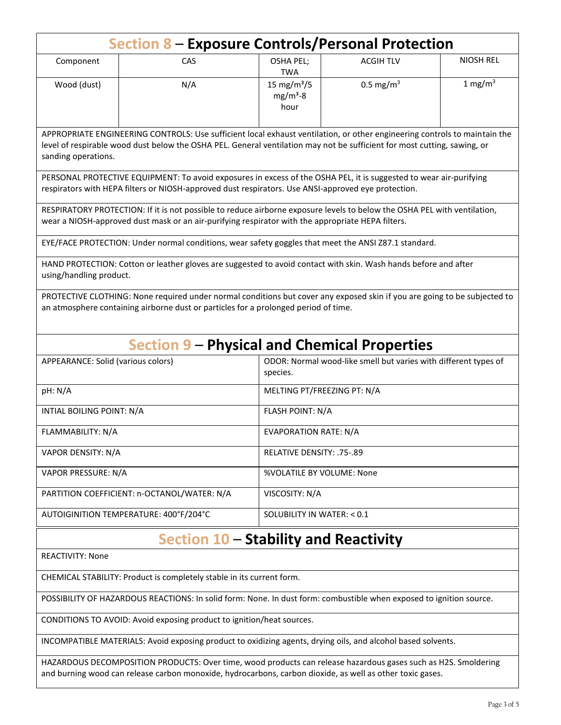| Section 8 – Exposure Controls/Personal Protection                                                                                                                                                                                                                            |                                                                                                      |                                                |                      |                  |
|------------------------------------------------------------------------------------------------------------------------------------------------------------------------------------------------------------------------------------------------------------------------------|------------------------------------------------------------------------------------------------------|------------------------------------------------|----------------------|------------------|
| Component                                                                                                                                                                                                                                                                    | CAS                                                                                                  | <b>OSHA PEL;</b><br><b>TWA</b>                 | <b>ACGIH TLV</b>     | <b>NIOSH REL</b> |
| Wood (dust)                                                                                                                                                                                                                                                                  | N/A                                                                                                  | 15 mg/m <sup>3</sup> /5<br>$mg/m3 - 8$<br>hour | $0.5 \text{ mg/m}^3$ | 1 mg/m $3$       |
| APPROPRIATE ENGINEERING CONTROLS: Use sufficient local exhaust ventilation, or other engineering controls to maintain the<br>level of respirable wood dust below the OSHA PEL. General ventilation may not be sufficient for most cutting, sawing, or<br>sanding operations. |                                                                                                      |                                                |                      |                  |
| PERSONAL PROTECTIVE EQUIPMENT: To avoid exposures in excess of the OSHA PEL, it is suggested to wear air-purifying<br>respirators with HEPA filters or NIOSH-approved dust respirators. Use ANSI-approved eye protection.                                                    |                                                                                                      |                                                |                      |                  |
| RESPIRATORY PROTECTION: If it is not possible to reduce airborne exposure levels to below the OSHA PEL with ventilation,<br>wear a NIOSH-approved dust mask or an air-purifying respirator with the appropriate HEPA filters.                                                |                                                                                                      |                                                |                      |                  |
|                                                                                                                                                                                                                                                                              | EYE/FACE PROTECTION: Under normal conditions, wear safety goggles that meet the ANSI Z87.1 standard. |                                                |                      |                  |
| HAND PROTECTION: Cotton or leather gloves are suggested to avoid contact with skin. Wash hands before and after<br>using/handling product.                                                                                                                                   |                                                                                                      |                                                |                      |                  |
| PROTECTIVE CLOTHING: None required under normal conditions but cover any exposed skin if you are going to be subjected to<br>an atmosphere containing airborne dust or particles for a prolonged period of time.                                                             |                                                                                                      |                                                |                      |                  |
| <b>Section 9 – Physical and Chemical Properties</b>                                                                                                                                                                                                                          |                                                                                                      |                                                |                      |                  |
| ODOR: Normal wood-like smell but varies with different types of<br>APPEARANCE: Solid (various colors)<br>species.                                                                                                                                                            |                                                                                                      |                                                |                      |                  |
| pH: N/A                                                                                                                                                                                                                                                                      |                                                                                                      | MELTING PT/FREEZING PT: N/A                    |                      |                  |
| INTIAL BOILING POINT: N/A                                                                                                                                                                                                                                                    |                                                                                                      | <b>FLASH POINT: N/A</b>                        |                      |                  |
| FLAMMABILITY: N/A                                                                                                                                                                                                                                                            |                                                                                                      | <b>EVAPORATION RATE: N/A</b>                   |                      |                  |
| VAPOR DENSITY: N/A                                                                                                                                                                                                                                                           |                                                                                                      | RELATIVE DENSITY: .75-.89                      |                      |                  |
| VAPOR PRESSURE: N/A                                                                                                                                                                                                                                                          |                                                                                                      | %VOLATILE BY VOLUME: None                      |                      |                  |
| PARTITION COEFFICIENT: n-OCTANOL/WATER: N/A                                                                                                                                                                                                                                  |                                                                                                      | VISCOSITY: N/A                                 |                      |                  |
| AUTOIGINITION TEMPERATURE: 400°F/204°C                                                                                                                                                                                                                                       |                                                                                                      | SOLUBILITY IN WATER: < 0.1                     |                      |                  |
| Section 10 - Stability and Reactivity                                                                                                                                                                                                                                        |                                                                                                      |                                                |                      |                  |
| <b>REACTIVITY: None</b>                                                                                                                                                                                                                                                      |                                                                                                      |                                                |                      |                  |
| CHEMICAL STABILITY: Product is completely stable in its current form.                                                                                                                                                                                                        |                                                                                                      |                                                |                      |                  |
| POSSIBILITY OF HAZARDOUS REACTIONS: In solid form: None. In dust form: combustible when exposed to ignition source.                                                                                                                                                          |                                                                                                      |                                                |                      |                  |

CONDITIONS TO AVOID: Avoid exposing product to ignition/heat sources.

INCOMPATIBLE MATERIALS: Avoid exposing product to oxidizing agents, drying oils, and alcohol based solvents.

HAZARDOUS DECOMPOSITION PRODUCTS: Over time, wood products can release hazardous gases such as H2S. Smoldering and burning wood can release carbon monoxide, hydrocarbons, carbon dioxide, as well as other toxic gases.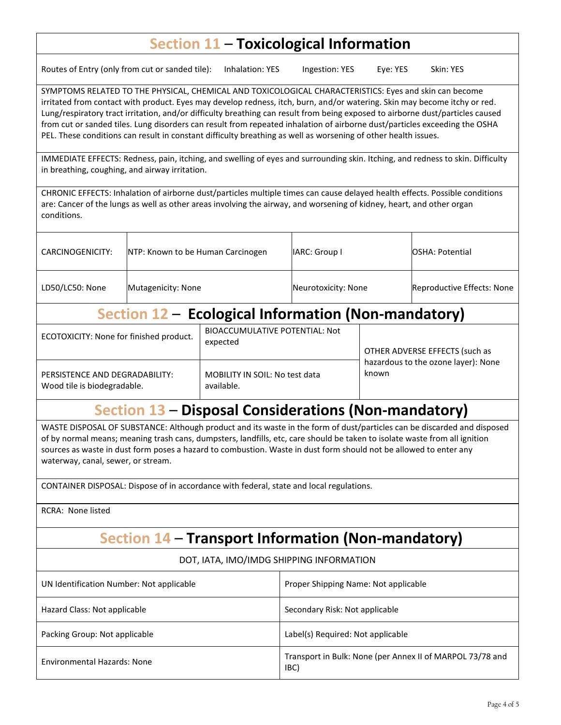## **Section 11** – **Toxicological Information**

Routes of Entry (only from cut or sanded tile): Inhalation: YES Ingestion: YES Eye: YES Skin: YES

SYMPTOMS RELATED TO THE PHYSICAL, CHEMICAL AND TOXICOLOGICAL CHARACTERISTICS: Eyes and skin can become irritated from contact with product. Eyes may develop redness, itch, burn, and/or watering. Skin may become itchy or red. Lung/respiratory tract irritation, and/or difficulty breathing can result from being exposed to airborne dust/particles caused from cut or sanded tiles. Lung disorders can result from repeated inhalation of airborne dust/particles exceeding the OSHA PEL. These conditions can result in constant difficulty breathing as well as worsening of other health issues.

IMMEDIATE EFFECTS: Redness, pain, itching, and swelling of eyes and surrounding skin. Itching, and redness to skin. Difficulty in breathing, coughing, and airway irritation.

CHRONIC EFFECTS: Inhalation of airborne dust/particles multiple times can cause delayed health effects. Possible conditions are: Cancer of the lungs as well as other areas involving the airway, and worsening of kidney, heart, and other organ conditions.

| Section 12 - Ecological Information (Non-mandatory) |                                   |                     |                            |  |
|-----------------------------------------------------|-----------------------------------|---------------------|----------------------------|--|
| LD50/LC50: None                                     | Mutagenicity: None                | Neurotoxicity: None | Reproductive Effects: None |  |
| CARCINOGENICITY:                                    | NTP: Known to be Human Carcinogen | IARC: Group I       | <b>OSHA: Potential</b>     |  |

| ECOTOXICITY: None for finished product. | <b>BIOACCUMULATIVE POTENTIAL: Not</b><br>expected | OTHER ADVERSE EFFECTS (such as      |
|-----------------------------------------|---------------------------------------------------|-------------------------------------|
| PERSISTENCE AND DEGRADABILITY:          | MOBILITY IN SOIL: No test data                    | hazardous to the ozone layer): None |
| Wood tile is biodegradable.             | available.                                        | known                               |

## **Section 13** – **Disposal Considerations (Non-mandatory)**

WASTE DISPOSAL OF SUBSTANCE: Although product and its waste in the form of dust/particles can be discarded and disposed of by normal means; meaning trash cans, dumpsters, landfills, etc, care should be taken to isolate waste from all ignition sources as waste in dust form poses a hazard to combustion. Waste in dust form should not be allowed to enter any waterway, canal, sewer, or stream.

CONTAINER DISPOSAL: Dispose of in accordance with federal, state and local regulations.

RCRA: None listed

## **Section 14** – **Transport Information (Non-mandatory)**

#### DOT, IATA, IMO/IMDG SHIPPING INFORMATION

| UN Identification Number: Not applicable | Proper Shipping Name: Not applicable                              |
|------------------------------------------|-------------------------------------------------------------------|
| Hazard Class: Not applicable             | Secondary Risk: Not applicable                                    |
| Packing Group: Not applicable            | Label(s) Required: Not applicable                                 |
| <b>Environmental Hazards: None</b>       | Transport in Bulk: None (per Annex II of MARPOL 73/78 and<br>IBC) |